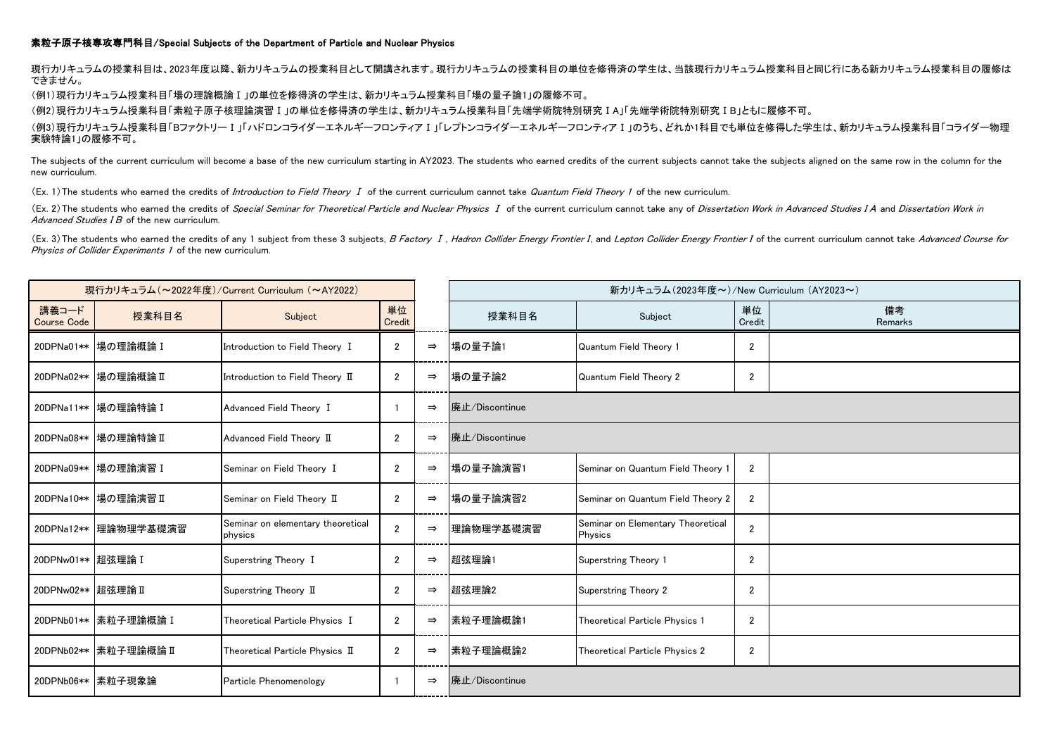## 素粒子原子核専攻専門科目/Special Subjects of the Department of Particle and Nuclear Physics

現行カリキュラムの授業科目は、2023年度以降、新カリキュラムの授業科目として開講されます。現行カリキュラムの授業科目の単位を修得済の学生は、当該現行カリキュラム授業科目と同じ行にある新カリキュラム授業科目の履修は できません。

(例1)現行カリキュラム授業科目「場の理論概論Ⅰ」の単位を修得済の学生は、新カリキュラム授業科目「場の量子論1」の履修不可。

(例2)現行カリキュラム授業科目「素粒子原子核理論演習Ⅰ」の単位を修得済の学生は、新カリキュラム授業科目「先端学術院特別研究ⅠA」「先端学術院特別研究ⅠB」ともに履修不可。

(例3)現行カリキュラム授業科目「BファクトリーⅠ」「ハドロンコライダーエネルギーフロンティアⅠ」「レプトンコライダーエネルギーフロンティアⅠ」のうち、どれか1科目でも単位を修得した学生は、新カリキュラム授業科目「コライダー物理 実験特論1」の履修不可。

The subjects of the current curriculum will become a base of the new curriculum starting in AY2023. The students who earned credits of the current subjects cannot take the subjects aligned on the same row in the column for new curriculum.

(Ex. 1) The students who earned the credits of *Introduction to Field Theory I* of the current curriculum cannot take Quantum Field Theory 1 of the new curriculum.

(Ex. 2) The students who earned the credits of Special Seminar for Theoretical Particle and Nuclear Physics I of the current curriculum cannot take any of Dissertation Work in Advanced Studies IA and Dissertation Work in Advanced Studies I B of the new curriculum.

(Ex. 3) The students who earned the credits of any 1 subject from these 3 subjects, B Factory I, Hadron Collider Energy Frontier I, and Lepton Collider Energy Frontier I of the current curriculum cannot take Advanced Cours Physics of Collider Experiments 1 of the new curriculum.

| 現行カリキュラム (~2022年度)/Current Curriculum (~AY2022) |                        |                                              |                |               |                | 新カリキュラム(2023年度~)/New Curriculum (AY2023~)    |                |               |  |  |
|-------------------------------------------------|------------------------|----------------------------------------------|----------------|---------------|----------------|----------------------------------------------|----------------|---------------|--|--|
| 講義コード<br><b>Course Code</b>                     | 授業科目名                  | Subject                                      | 単位<br>Credit   |               | 授業科目名          | Subject                                      | 単位<br>Credit   | 備考<br>Remarks |  |  |
|                                                 | 20DPNa01** 場の理論概論 I    | Introduction to Field Theory I               | $\overline{2}$ | $\Rightarrow$ | 場の量子論1         | Quantum Field Theory 1                       | $\overline{2}$ |               |  |  |
|                                                 | 20DPNa02** 場の理論概論 II   | Introduction to Field Theory II              | $\overline{2}$ | $\Rightarrow$ | 場の量子論2         | Quantum Field Theory 2                       | $\overline{2}$ |               |  |  |
|                                                 | 20DPNa11**  場の理論特論 I   | Advanced Field Theory I                      |                | $\Rightarrow$ | 廃止/Discontinue |                                              |                |               |  |  |
|                                                 | 20DPNa08** 場の理論特論 II   | Advanced Field Theory II                     | $\overline{2}$ | $\Rightarrow$ | 廃止/Discontinue |                                              |                |               |  |  |
|                                                 | 20DPNa09** 場の理論演習 I    | Seminar on Field Theory I                    | $\overline{2}$ | $\Rightarrow$ | 場の量子論演習1       | Seminar on Quantum Field Theory 1            | $\overline{2}$ |               |  |  |
|                                                 | 20DPNa10** 場の理論演習 II   | Seminar on Field Theory II                   | $\overline{2}$ | $\Rightarrow$ | 場の量子論演習2       | Seminar on Quantum Field Theory 2            | $\overline{2}$ |               |  |  |
|                                                 | 20DPNa12**  理論物理学基礎演習  | Seminar on elementary theoretical<br>physics | $\overline{2}$ | $\Rightarrow$ | 理論物理学基礎演習      | Seminar on Elementary Theoretical<br>Physics | $\overline{2}$ |               |  |  |
| 20DPNw01** 超弦理論 I                               |                        | Superstring Theory I                         | $\overline{2}$ | $\Rightarrow$ | 超弦理論1          | Superstring Theory 1                         | $\overline{2}$ |               |  |  |
| 20DPNw02** 超弦理論 II                              |                        | Superstring Theory II                        | $\overline{2}$ | $\Rightarrow$ | 超弦理論2          | <b>Superstring Theory 2</b>                  | $\overline{2}$ |               |  |  |
|                                                 | 20DPNb01**  素粒子理論概論 I  | Theoretical Particle Physics I               | $\overline{2}$ | $\Rightarrow$ | 素粒子理論概論1       | Theoretical Particle Physics 1               | $\overline{2}$ |               |  |  |
|                                                 | 20DPNb02**  素粒子理論概論 II | Theoretical Particle Physics II              | 2              | $\Rightarrow$ | 素粒子理論概論2       | Theoretical Particle Physics 2               | $\overline{2}$ |               |  |  |
|                                                 | 20DPNb06**  素粒子現象論     | Particle Phenomenology                       |                | $\Rightarrow$ | 廃止/Discontinue |                                              |                |               |  |  |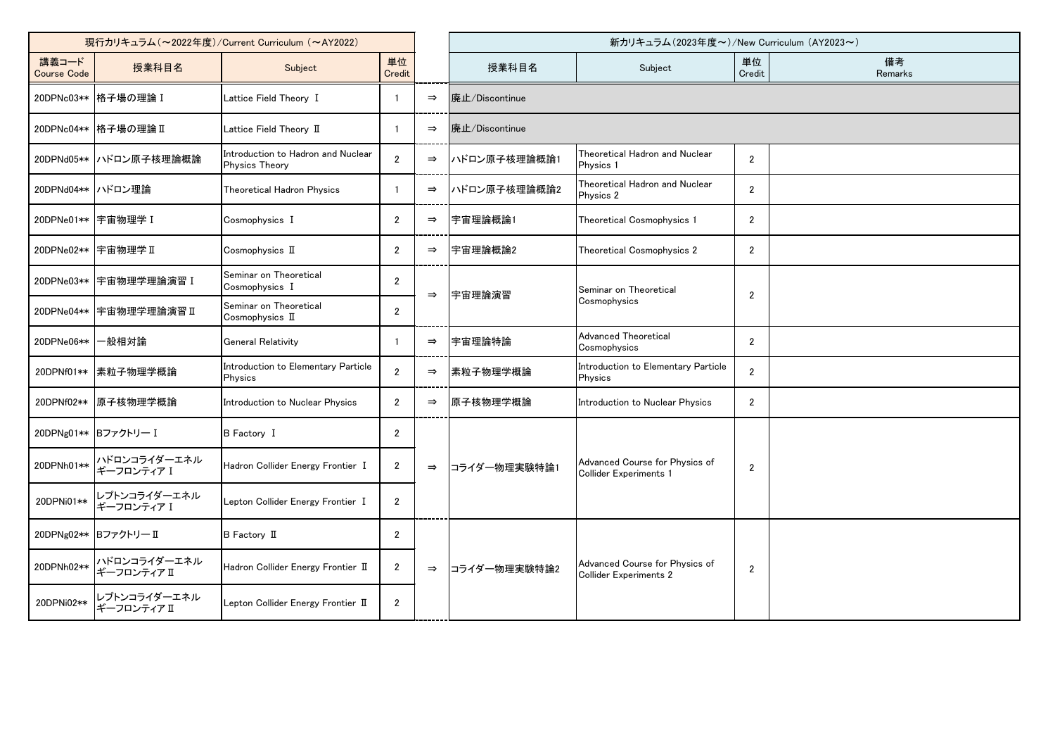| 現行カリキュラム (~2022年度)/Current Curriculum (~AY2022) |                             |                                                             |                |               | 新カリキュラム(2023年度~)/New Curriculum (AY2023~) |                                                                 |                |               |  |  |
|-------------------------------------------------|-----------------------------|-------------------------------------------------------------|----------------|---------------|-------------------------------------------|-----------------------------------------------------------------|----------------|---------------|--|--|
| 講義コード<br><b>Course Code</b>                     | 授業科目名                       | Subject                                                     | 単位<br>Credit   |               | 授業科目名                                     | Subject                                                         | 単位<br>Credit   | 備考<br>Remarks |  |  |
|                                                 | 20DPNc03** 格子場の理論 I         | Lattice Field Theory I                                      |                | $\Rightarrow$ | 廃止/Discontinue                            |                                                                 |                |               |  |  |
|                                                 | 20DPNc04** 格子場の理論 II        | Lattice Field Theory II                                     |                | $\Rightarrow$ | 廃止/Discontinue                            |                                                                 |                |               |  |  |
|                                                 | 20DPNd05** ハドロン原子核理論概論      | Introduction to Hadron and Nuclear<br><b>Physics Theory</b> | $\overline{2}$ | $\Rightarrow$ | ハドロン原子核理論概論1                              | Theoretical Hadron and Nuclear<br>Physics 1                     | $\overline{2}$ |               |  |  |
| 20DPNd04** ハドロン理論                               |                             | Theoretical Hadron Physics                                  |                | $\Rightarrow$ | ハドロン原子核理論概論2                              | Theoretical Hadron and Nuclear<br>Physics 2                     | $\overline{2}$ |               |  |  |
| 20DPNe01** 宇宙物理学 I                              |                             | Cosmophysics I                                              | $\overline{2}$ | $\Rightarrow$ | 宇宙理論概論1                                   | Theoretical Cosmophysics 1                                      | $\overline{2}$ |               |  |  |
| 20DPNe02** 宇宙物理学 II                             |                             | Cosmophysics II                                             | $\overline{2}$ | $\Rightarrow$ | 宇宙理論概論2                                   | Theoretical Cosmophysics 2                                      | $\overline{2}$ |               |  |  |
|                                                 | 20DPNe03** 宇宙物理学理論演習 I      | Seminar on Theoretical<br>Cosmophysics I                    | $\overline{2}$ | $\Rightarrow$ | 宇宙理論演習                                    | Seminar on Theoretical                                          | $\overline{2}$ |               |  |  |
| 20DPNe04**                                      | 宇宙物理学理論演習Ⅱ                  | Seminar on Theoretical<br>Cosmophysics II                   | $\overline{2}$ |               |                                           | Cosmophysics                                                    |                |               |  |  |
| 20DPNe06**                                      | 一般相対論                       | <b>General Relativity</b>                                   |                | $\Rightarrow$ | 宇宙理論特論                                    | <b>Advanced Theoretical</b><br>Cosmophysics                     | $\overline{2}$ |               |  |  |
| 20DPNf01**                                      | 素粒子物理学概論                    | Introduction to Elementary Particle<br>Physics              | $\overline{2}$ | $\Rightarrow$ | 素粒子物理学概論                                  | Introduction to Elementary Particle<br>Physics                  | $\overline{2}$ |               |  |  |
| 20DPNf02**                                      | 原子核物理学概論                    | Introduction to Nuclear Physics                             | $\overline{2}$ | $\Rightarrow$ | 原子核物理学概論                                  | Introduction to Nuclear Physics                                 | $\overline{2}$ |               |  |  |
| 20DPNg01** Bファクトリー I                            |                             | <b>B</b> Factory I                                          | $\overline{2}$ |               |                                           |                                                                 |                |               |  |  |
| 20DPNh01**                                      | ハドロンコライダーエネル<br>ギーフロンティア I  | Hadron Collider Energy Frontier I                           | $\overline{2}$ | $\Rightarrow$ | コライダー物理実験特論1                              | Advanced Course for Physics of<br><b>Collider Experiments 1</b> | $\overline{2}$ |               |  |  |
| 20DPNi01**                                      | レプトンコライダーエネル<br>ギーフロンティア I  | Lepton Collider Energy Frontier I                           | $\overline{2}$ |               |                                           |                                                                 |                |               |  |  |
|                                                 | 20DPNg02** Bファクトリー II       | B Factory II                                                | $\overline{2}$ |               |                                           |                                                                 |                |               |  |  |
| 20DPNh02**                                      | ハドロンコライダーエネル<br>ギーフロンティアⅡ   | Hadron Collider Energy Frontier II                          | $\overline{2}$ | $\Rightarrow$ | コライダー物理実験特論2                              | Advanced Course for Physics of<br><b>Collider Experiments 2</b> | $\overline{2}$ |               |  |  |
| 20DPNi02**                                      | レプトンコライダーエネル<br>ギーフロンティア II | Lepton Collider Energy Frontier II                          | $\overline{2}$ |               |                                           |                                                                 |                |               |  |  |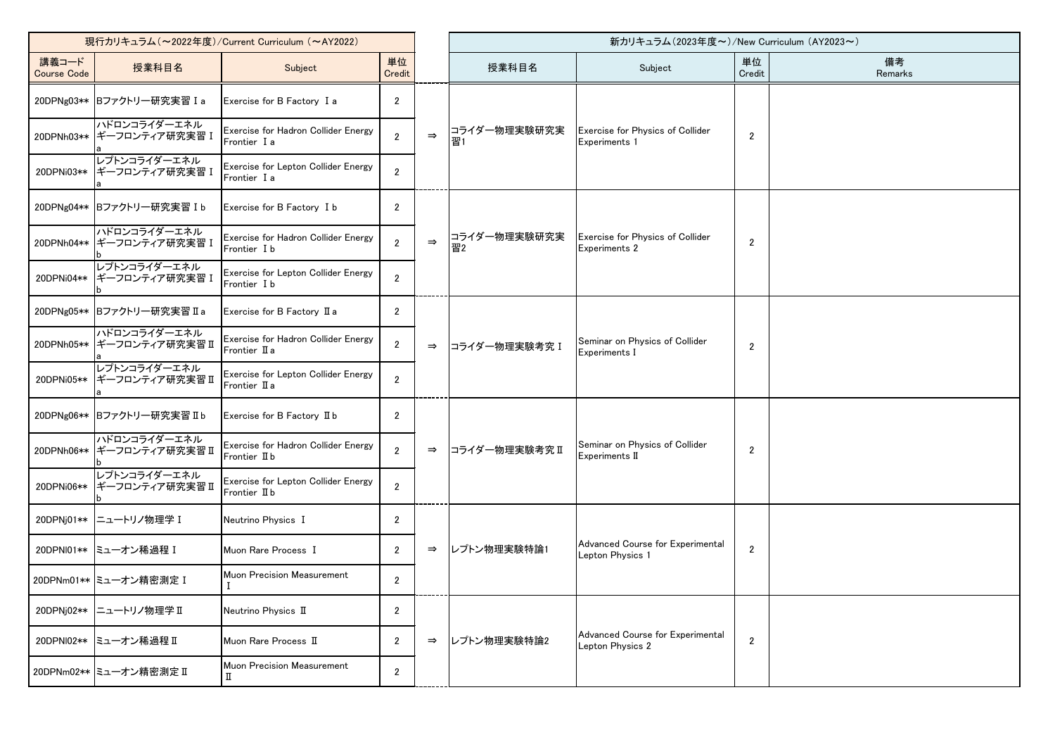| 現行カリキュラム (~2022年度)/Current Curriculum (~AY2022) |                                            |                                                      |                |               | 新カリキュラム(2023年度~)/New Curriculum (AY2023~) |                                                          |                |               |  |
|-------------------------------------------------|--------------------------------------------|------------------------------------------------------|----------------|---------------|-------------------------------------------|----------------------------------------------------------|----------------|---------------|--|
| 講義コード<br><b>Course Code</b>                     | 授業科目名                                      | Subject                                              | 単位<br>Credit   |               | 授業科目名                                     | Subject                                                  | 単位<br>Credit   | 備考<br>Remarks |  |
|                                                 | 20DPNg03** Bファクトリー研究実習 Ia                  | Exercise for B Factory I a                           | $\mathbf{2}$   |               |                                           |                                                          |                |               |  |
|                                                 | ハドロンコライダーエネル<br>20DPNh03** ギーフロンティア研究実習 I  | Exercise for Hadron Collider Energy<br>Frontier I a  | $\overline{2}$ | $\Rightarrow$ | コライダー物理実験研究実<br>꽙1                        | Exercise for Physics of Collider<br>Experiments 1        | $\overline{2}$ |               |  |
| 20DPNi03**                                      | レプトンコライダーエネル<br> ギーフロンティア研究実習Ⅰ             | Exercise for Lepton Collider Energy<br>Frontier I a  | 2              |               |                                           |                                                          |                |               |  |
|                                                 | 20DPNg04** Bファクトリー研究実習 Ib                  | Exercise for B Factory I b                           | $\overline{2}$ |               |                                           |                                                          |                |               |  |
|                                                 | ハドロンコライダーエネル<br>20DPNh04** ギーフロンティア研究実習 I  | Exercise for Hadron Collider Energy<br>Frontier I b  | $\overline{2}$ | $\Rightarrow$ | コライダー物理実験研究実<br>習2                        | Exercise for Physics of Collider<br><b>Experiments 2</b> | $\overline{2}$ |               |  |
| 20DPNi04**                                      | レプトンコライダーエネル<br> ギーフロンティア研究実習Ⅰ             | Exercise for Lepton Collider Energy<br>Frontier I b  | $\overline{2}$ |               |                                           |                                                          |                |               |  |
|                                                 | 20DPNg05** Bファクトリー研究実習 II a                | Exercise for B Factory II a                          | $\overline{2}$ |               |                                           |                                                          |                |               |  |
|                                                 | ハドロンコライダーエネル<br>20DPNh05** ギーフロンティア研究実習 II | Exercise for Hadron Collider Energy<br>Frontier II a | $\overline{2}$ | $\Rightarrow$ | コライダー物理実験考究 I                             | Seminar on Physics of Collider<br>Experiments I          | $\overline{2}$ |               |  |
| 20DPNi05**                                      | レプトンコライダーエネル<br> ギーフロンティア研究実習Ⅱ             | Exercise for Lepton Collider Energy<br>Frontier II a | $\overline{2}$ |               |                                           |                                                          |                |               |  |
|                                                 | 20DPNg06** Bファクトリー研究実習 IIb                 | Exercise for B Factory II b                          | $\overline{2}$ |               |                                           |                                                          |                |               |  |
|                                                 | ハドロンコライダーエネル<br>20DPNh06** ギーフロンティア研究実習 II | Exercise for Hadron Collider Energy<br>Frontier II b | $\overline{2}$ | $\Rightarrow$ | コライダー物理実験考究Ⅱ                              | Seminar on Physics of Collider<br>Experiments II         | $\overline{2}$ |               |  |
| 20DPNi06**                                      | レプトンコライダーエネル<br>┃ギーフロンティア研究実習Ⅱ             | Exercise for Lepton Collider Energy<br>Frontier II b | $\overline{2}$ |               |                                           |                                                          |                |               |  |
|                                                 | 20DPNj01**  ニュートリノ物理学 I                    | Neutrino Physics I                                   | $\mathbf{2}$   |               |                                           |                                                          |                |               |  |
|                                                 | 20DPNI01** ミューオン稀過程 I                      | Muon Rare Process I                                  | $\overline{2}$ | $\Rightarrow$ | レプトン物理実験特論1                               | Advanced Course for Experimental<br>Lepton Physics 1     | $\overline{2}$ |               |  |
|                                                 | 20DPNm01** ミューオン精密測定 I                     | Muon Precision Measurement                           | $\overline{2}$ |               |                                           |                                                          |                |               |  |
|                                                 | 20DPNj02** ニュートリノ物理学 II                    | Neutrino Physics II                                  | $\overline{2}$ |               |                                           |                                                          |                |               |  |
| 20DPNI02**                                      | ミューオン稀過程Ⅱ                                  | Muon Rare Process II                                 | $\overline{2}$ | $\Rightarrow$ | レプトン物理実験特論2                               | Advanced Course for Experimental<br>Lepton Physics 2     | $\mathbf{2}$   |               |  |
|                                                 | 20DPNm02** ミューオン精密測定 II                    | Muon Precision Measurement<br>п                      | $\overline{2}$ |               |                                           |                                                          |                |               |  |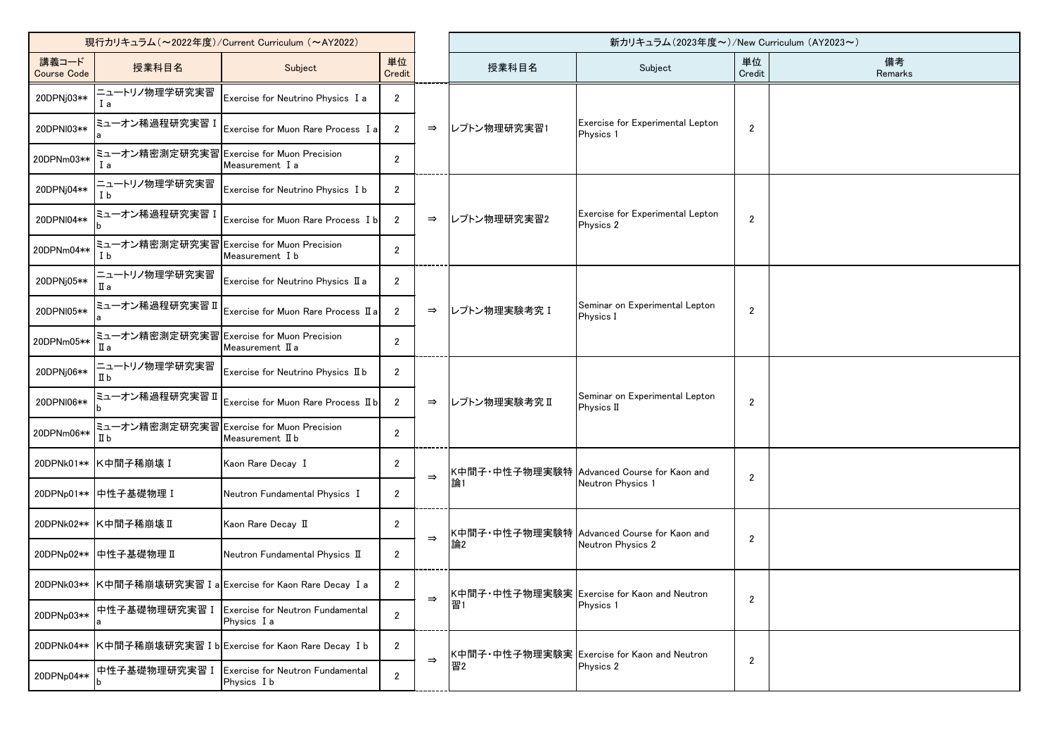| 現行カリキュラム (~2022年度)/Current Curriculum (~AY2022) |                                                 |                                                        |                |               | 新カリキュラム(2023年度~)/New Curriculum (AY2023~) |                                                                 |                |               |
|-------------------------------------------------|-------------------------------------------------|--------------------------------------------------------|----------------|---------------|-------------------------------------------|-----------------------------------------------------------------|----------------|---------------|
| 講義コード<br><b>Course Code</b>                     | 授業科目名                                           | Subject                                                | 単位<br>Credit   |               | 授業科目名                                     | Subject                                                         | 単位<br>Credit   | 備考<br>Remarks |
| 20DPNj03**                                      | ニュートリノ物理学研究実習<br>l a                            | Exercise for Neutrino Physics I a                      | $\overline{2}$ |               |                                           |                                                                 |                |               |
| 20DPNI03**                                      | ミューオン稀過程研究実習                                    | Exercise for Muon Rare Process I a                     | $\overline{2}$ | $\Rightarrow$ | レプトン物理研究実習1                               | Exercise for Experimental Lepton<br>Physics 1                   | $\overline{2}$ |               |
| 20DPNm03**                                      | ミューオン精密測定研究実習 Exercise for Muon Precision<br>Ιa | Measurement I a                                        | $\overline{2}$ |               |                                           |                                                                 |                |               |
| 20DPNj04**                                      | ニュートリノ物理学研究実習<br>I b                            | Exercise for Neutrino Physics I b                      | $\overline{2}$ |               |                                           |                                                                 |                |               |
| 20DPNI04**                                      | ミューオン稀過程研究実習 ]                                  | Exercise for Muon Rare Process I b                     | $\overline{2}$ | $\Rightarrow$ | レプトン物理研究実習2                               | <b>Exercise for Experimental Lepton</b><br>Physics 2            | $\overline{2}$ |               |
| 20DPNm04**                                      | ミューオン精密測定研究実習 <br>I b                           | <b>Exercise for Muon Precision</b><br>Measurement I b  | $\overline{2}$ |               |                                           |                                                                 |                |               |
| 20DPNj05**                                      | ニュートリノ物理学研究実習<br>Шa                             | Exercise for Neutrino Physics II a                     | $\overline{2}$ |               |                                           |                                                                 |                |               |
| 20DPNI05**                                      | ミューオン稀過程研究実習Ⅱ                                   | Exercise for Muon Rare Process II a                    | $\overline{2}$ | $\Rightarrow$ | レプトン物理実験考究 I                              | Seminar on Experimental Lepton<br>Physics I                     | $\overline{2}$ |               |
| 20DPNm05**                                      | ミューオン精密測定研究実習<br>Ша                             | <b>Exercise for Muon Precision</b><br>Measurement II a | $\overline{2}$ |               |                                           |                                                                 |                |               |
| 20DPNj06**                                      | ニュートリノ物理学研究実習<br>$\mathbb I$ b                  | Exercise for Neutrino Physics II b                     | $\overline{2}$ |               |                                           |                                                                 |                |               |
| 20DPNI06**                                      | ミューオン稀過程研究実習Ⅱ                                   | Exercise for Muon Rare Process II b                    | $\overline{2}$ | $\Rightarrow$ | レプトン物理実験考究Ⅱ                               | Seminar on Experimental Lepton<br><b>Physics II</b>             | $\overline{2}$ |               |
| 20DPNm06**                                      | ミューオン精密測定研究実習 Exercise for Muon Precision<br>Пb | Measurement II b                                       | $\overline{2}$ |               |                                           |                                                                 |                |               |
| 20DPNk01**                                      | K中間子稀崩壊 I                                       | Kaon Rare Decay I                                      | 2              | $\Rightarrow$ |                                           | K中間子・中性子物理実験特 Advanced Course for Kaon and<br>Neutron Physics 1 | $\overline{2}$ |               |
|                                                 | 20DPNp01** 中性子基礎物理 I                            | Neutron Fundamental Physics I                          | $\overline{2}$ |               |                                           |                                                                 |                |               |
|                                                 | 20DPNk02** K中間子稀崩壊 II                           | Kaon Rare Decay II                                     | 2              |               |                                           | K中間子・中性子物理実験特 Advanced Course for Kaon and                      | $\overline{2}$ |               |
| 20DPNp02**                                      | 中性子基礎物理Ⅱ                                        | Neutron Fundamental Physics II                         | $\overline{2}$ | $\Rightarrow$ | 論2                                        | Neutron Physics 2                                               |                |               |
| 20DPNk03**                                      |                                                 | K中間子稀崩壊研究実習 I a Exercise for Kaon Rare Decay I a       | $\sqrt{2}$     | $\Rightarrow$ |                                           | K中間子・中性子物理実験実 Exercise for Kaon and Neutron                     |                |               |
| 20DPNp03**                                      | 中性子基礎物理研究実習 I                                   | Exercise for Neutron Fundamental<br>Physics I a        | $\overline{2}$ |               | 習                                         | Physics 1                                                       | $\overline{2}$ |               |
| 20DPNk04**                                      |                                                 | K中間子稀崩壊研究実習 I b Exercise for Kaon Rare Decay I b       | $\overline{2}$ | $\Rightarrow$ |                                           | K中間子・中性子物理実験実 Exercise for Kaon and Neutron<br>Physics 2        | $\overline{2}$ |               |
| 20DPNp04**                                      | 中性子基礎物理研究実習 I                                   | <b>Exercise for Neutron Fundamental</b><br>Physics I b | $\overline{2}$ |               | 習2                                        |                                                                 |                |               |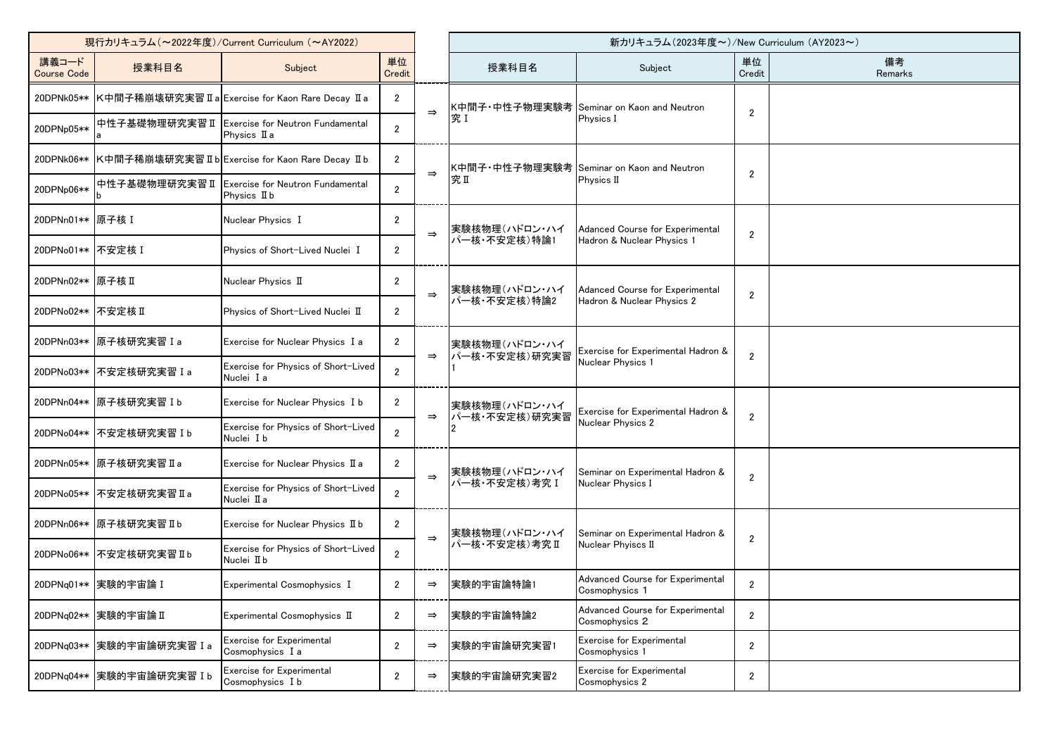| 現行カリキュラム (~2022年度)/Current Curriculum (~AY2022) |                           |                                                         |                |               |                                | 新カリキュラム(2023年度~)/New Curriculum (AY2023~)             |                |               |
|-------------------------------------------------|---------------------------|---------------------------------------------------------|----------------|---------------|--------------------------------|-------------------------------------------------------|----------------|---------------|
| 講義コード<br><b>Course Code</b>                     | 授業科目名                     | Subject                                                 | 単位<br>Credit   |               | 授業科目名                          | Subject                                               | 単位<br>Credit   | 備考<br>Remarks |
| 20DPNk05**                                      |                           | K中間子稀崩壊研究実習 II a Exercise for Kaon Rare Decay II a      | $\overline{2}$ | $\Rightarrow$ |                                | K中間子・中性子物理実験考 Seminar on Kaon and Neutron             | $\overline{2}$ |               |
| 20DPNp05**                                      | 中性子基礎物理研究実習Ⅱ              | <b>Exercise for Neutron Fundamental</b><br>Physics II a | $\overline{2}$ |               | 究I                             | Physics I                                             |                |               |
| 20DPNk06**                                      |                           | K中間子稀崩壊研究実習 II b Exercise for Kaon Rare Decay II b      | $\overline{2}$ | $\Rightarrow$ |                                | K中間子・中性子物理実験考 Seminar on Kaon and Neutron             |                |               |
| 20DPNp06**                                      | 中性子基礎物理研究実習Ⅱ              | Exercise for Neutron Fundamental<br>Physics II b        | $\overline{2}$ |               | 究Ⅱ                             | Physics II                                            | $\overline{2}$ |               |
| 20DPNn01 ** 原子核 I                               |                           | Nuclear Physics I                                       | $\overline{2}$ | $\Rightarrow$ | 実験核物理(ハドロン・ハイ                  | Adanced Course for Experimental                       | $\overline{2}$ |               |
| 20DPNo01** 不安定核 I                               |                           | Physics of Short-Lived Nuclei I                         | $\overline{2}$ |               | パー核・不安定核)特論1                   | Hadron & Nuclear Physics 1                            |                |               |
| 20DPNn02** 原子核 II                               |                           | Nuclear Physics II                                      | $\overline{2}$ | $\Rightarrow$ | 実験核物理(ハドロン・ハイ                  | Adanced Course for Experimental                       | $\mathbf{2}$   |               |
| 20DPNo02** 不安定核 II                              |                           | Physics of Short-Lived Nuclei II                        | $\overline{2}$ |               | パー核・不安定核)特論2                   | Hadron & Nuclear Physics 2                            |                |               |
| 20DPNn03**                                      | 原子核研究実習 I a               | Exercise for Nuclear Physics I a                        | $\overline{2}$ | $\Rightarrow$ | 実験核物理(ハドロン・ハイ<br>パー核·不安定核)研究実習 | Exercise for Experimental Hadron &                    | $\mathbf{2}$   |               |
| 20DPNo03**                                      | 不安定核研究実習 I a              | Exercise for Physics of Short-Lived<br>Nuclei I a       | $\overline{2}$ |               |                                | Nuclear Physics 1                                     |                |               |
| 20DPNn04**                                      | 原子核研究実習Ib                 | Exercise for Nuclear Physics I b                        | 2              | $\Rightarrow$ | 実験核物理(ハドロン・ハイ<br>パー核·不安定核)研究実習 | Exercise for Experimental Hadron &                    | $\mathbf{2}$   |               |
| 20DPNo04**                                      | 不安定核研究実習 I b              | Exercise for Physics of Short-Lived<br>Nuclei I b       | $\overline{2}$ |               |                                | Nuclear Physics 2                                     |                |               |
| 20DPNn05**                                      | B原子核研究実習Ⅱa                | Exercise for Nuclear Physics II a                       | $\overline{2}$ | $\Rightarrow$ | 実験核物理(ハドロン・ハイ                  | Seminar on Experimental Hadron &<br>Nuclear Physics I | $\mathbf{2}$   |               |
| 20DPNo05**                                      | B天安定核研究実習Ⅱa               | Exercise for Physics of Short-Lived<br>Nuclei II a      | $\overline{2}$ |               | パー核·不安定核)考究 I                  |                                                       |                |               |
|                                                 | 20DPNn06** 原子核研究実習 II b   | Exercise for Nuclear Physics II b                       | $\overline{2}$ | $\Rightarrow$ |                                | 実験核物理(ハドロン・ハイ Seminar on Experimental Hadron &        |                |               |
| 20DPNo06**                                      | 不安定核研究実習Ⅱb                | Exercise for Physics of Short-Lived<br>Nuclei II b      | $\overline{2}$ |               | パー核·不安定核)考究Ⅱ                   | Nuclear Phyiscs II                                    | 2              |               |
| 20DPNq01**                                      | 実験的宇宙論 I                  | Experimental Cosmophysics I                             | $\overline{2}$ | $\Rightarrow$ | 実験的宇宙論特論1                      | Advanced Course for Experimental<br>Cosmophysics 1    | $\overline{2}$ |               |
| 20DPNq02**                                      | 実験的宇宙論 II                 | Experimental Cosmophysics II                            | $\overline{2}$ | $\Rightarrow$ | 実験的宇宙論特論2                      | Advanced Course for Experimental<br>Cosmophysics 2    | $\overline{2}$ |               |
| 20DPNq03**                                      | 実験的宇宙論研究実習 I a            | Exercise for Experimental<br>Cosmophysics I a           | $\overline{2}$ | $\Rightarrow$ | 実験的宇宙論研究実習1                    | Exercise for Experimental<br>Cosmophysics 1           | $\overline{2}$ |               |
|                                                 | 20DPNq04** 実験的宇宙論研究実習 I b | Exercise for Experimental<br>Cosmophysics I b           | $\overline{2}$ | $\Rightarrow$ | 実験的宇宙論研究実習2                    | Exercise for Experimental<br>Cosmophysics 2           | $\mathbf{2}$   |               |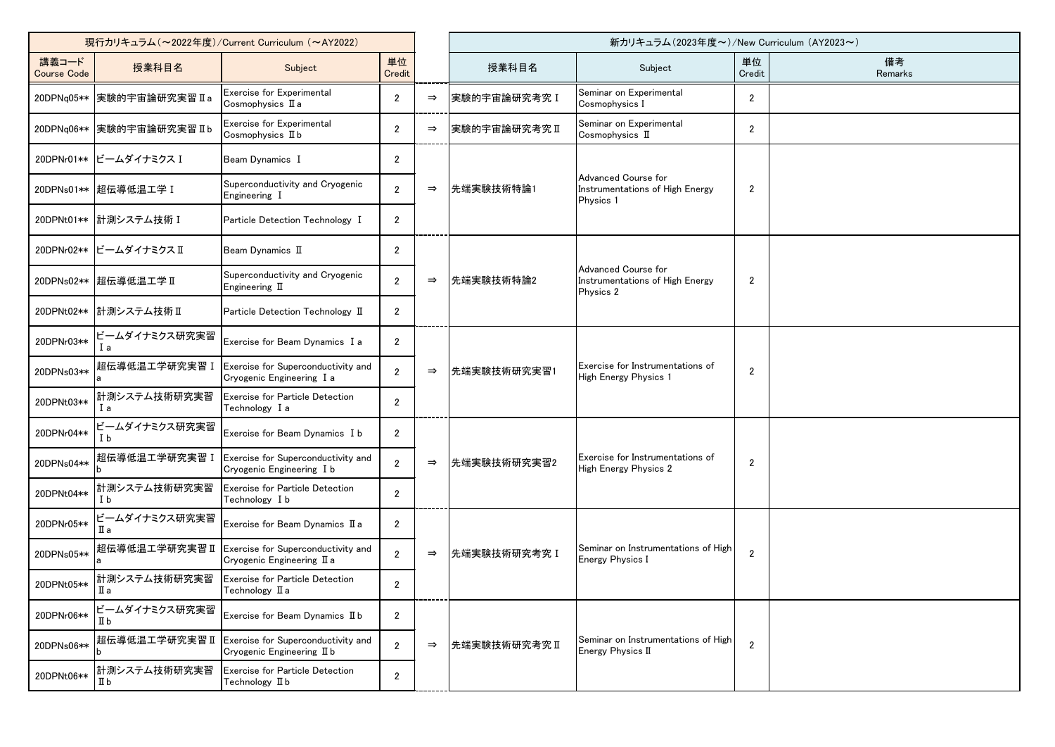| 現行カリキュラム (~2022年度)/Current Curriculum (~AY2022) |                           |                                                                                   |                |               | 新カリキュラム (2023年度~)/New Curriculum (AY2023~) |                                                                     |                |               |  |
|-------------------------------------------------|---------------------------|-----------------------------------------------------------------------------------|----------------|---------------|--------------------------------------------|---------------------------------------------------------------------|----------------|---------------|--|
| 講義コード<br><b>Course Code</b>                     | 授業科目名                     | Subject                                                                           | 単位<br>Credit   |               | 授業科目名                                      | Subject                                                             | 単位<br>Credit   | 備考<br>Remarks |  |
| 20DPNq05**                                      | 実験的宇宙論研究実習Ⅱa              | Exercise for Experimental<br>Cosmophysics II a                                    | $\overline{2}$ | $\Rightarrow$ | 実験的宇宙論研究考究 I                               | Seminar on Experimental<br>Cosmophysics I                           | $\overline{2}$ |               |  |
|                                                 | 20DPNq06** 実験的宇宙論研究実習 IIb | Exercise for Experimental<br>Cosmophysics II b                                    | $\overline{2}$ | $\Rightarrow$ | 実験的宇宙論研究考究Ⅱ                                | Seminar on Experimental<br>Cosmophysics II                          | $\overline{c}$ |               |  |
|                                                 | 20DPNr01** ビームダイナミクス I    | Beam Dynamics I                                                                   | $\overline{2}$ |               |                                            |                                                                     |                |               |  |
| 20DPNs01**                                      | 起伝導低温工学 I                 | Superconductivity and Cryogenic<br>Engineering I                                  | $\overline{2}$ | $\Rightarrow$ | 先端実験技術特論1                                  | Advanced Course for<br>Instrumentations of High Energy<br>Physics 1 | $\overline{2}$ |               |  |
|                                                 | 20DPNt01** 計測システム技術 I     | Particle Detection Technology I                                                   | $\overline{2}$ |               |                                            |                                                                     |                |               |  |
| 20DPNr02**                                      | ビームダイナミクスⅡ                | Beam Dynamics II                                                                  | $\overline{2}$ |               |                                            |                                                                     |                |               |  |
|                                                 | 20DPNs02** 超伝導低温工学 II     | Superconductivity and Cryogenic<br>Engineering $\scriptstyle\rm I\hspace{-.1em}I$ | $\overline{2}$ | $\Rightarrow$ | 先端実験技術特論2                                  | Advanced Course for<br>Instrumentations of High Energy<br>Physics 2 | $\overline{2}$ |               |  |
| 20DPNt02**                                      | 計測システム技術Ⅱ                 | Particle Detection Technology II                                                  | $\overline{2}$ |               |                                            |                                                                     |                |               |  |
| 20DPNr03**                                      | ビームダイナミクス研究実習<br>l a      | Exercise for Beam Dynamics I a                                                    | $\overline{2}$ |               |                                            |                                                                     |                |               |  |
| 20DPNs03**                                      | 超伝導低温工学研究実習 I             | Exercise for Superconductivity and<br>Cryogenic Engineering I a                   | $\overline{2}$ | $\Rightarrow$ | 先端実験技術研究実習1                                | Exercise for Instrumentations of<br>High Energy Physics 1           | $\mathbf{2}$   |               |  |
| 20DPNt03**                                      | 計測システム技術研究実習<br>l a       | Exercise for Particle Detection<br>Technology I a                                 | $\overline{2}$ |               |                                            |                                                                     |                |               |  |
| 20DPNr04**                                      | ビームダイナミクス研究実習<br>I b      | Exercise for Beam Dynamics I b                                                    | $\overline{2}$ |               |                                            |                                                                     |                |               |  |
| 20DPNs04**                                      | 超伝導低温工学研究実習 I             | Exercise for Superconductivity and<br>Cryogenic Engineering I b                   | $\overline{2}$ | $\Rightarrow$ | 先端実験技術研究実習2                                | Exercise for Instrumentations of<br><b>High Energy Physics 2</b>    | $\overline{c}$ |               |  |
| 20DPNt04**                                      | 計測システム技術研究実習<br>I b       | Exercise for Particle Detection<br>Technology I b                                 | $\overline{2}$ |               |                                            |                                                                     |                |               |  |
| 20DPNr05**                                      | ビームダイナミクス研究実習<br>Πа       | Exercise for Beam Dynamics II a                                                   | $\overline{2}$ |               |                                            |                                                                     |                |               |  |
| 20DPNs05**                                      | 超伝導低温工学研究実習 II            | Exercise for Superconductivity and<br>Cryogenic Engineering II a                  | $\overline{2}$ | $\Rightarrow$ | 先端実験技術研究考究 I                               | Seminar on Instrumentations of High<br>Energy Physics I             | $\overline{2}$ |               |  |
| 20DPNt05**                                      | 計測システム技術研究実習<br>Пa        | Exercise for Particle Detection<br>Technology II a                                | $\overline{2}$ |               |                                            |                                                                     |                |               |  |
| 20DPNr06**                                      | ビームダイナミクス研究実習<br>Пb       | Exercise for Beam Dynamics II b                                                   | $\overline{2}$ |               |                                            |                                                                     |                |               |  |
| 20DPNs06**                                      | 超伝導低温工学研究実習Ⅱ              | Exercise for Superconductivity and<br>Cryogenic Engineering II b                  | $\overline{2}$ | $\Rightarrow$ | 先端実験技術研究考究Ⅱ                                | Seminar on Instrumentations of High<br>Energy Physics II            | $\overline{2}$ |               |  |
| 20DPNt06**                                      | 計測システム技術研究実習<br>Шb        | <b>Exercise for Particle Detection</b><br>Technology II b                         | $\overline{2}$ |               |                                            |                                                                     |                |               |  |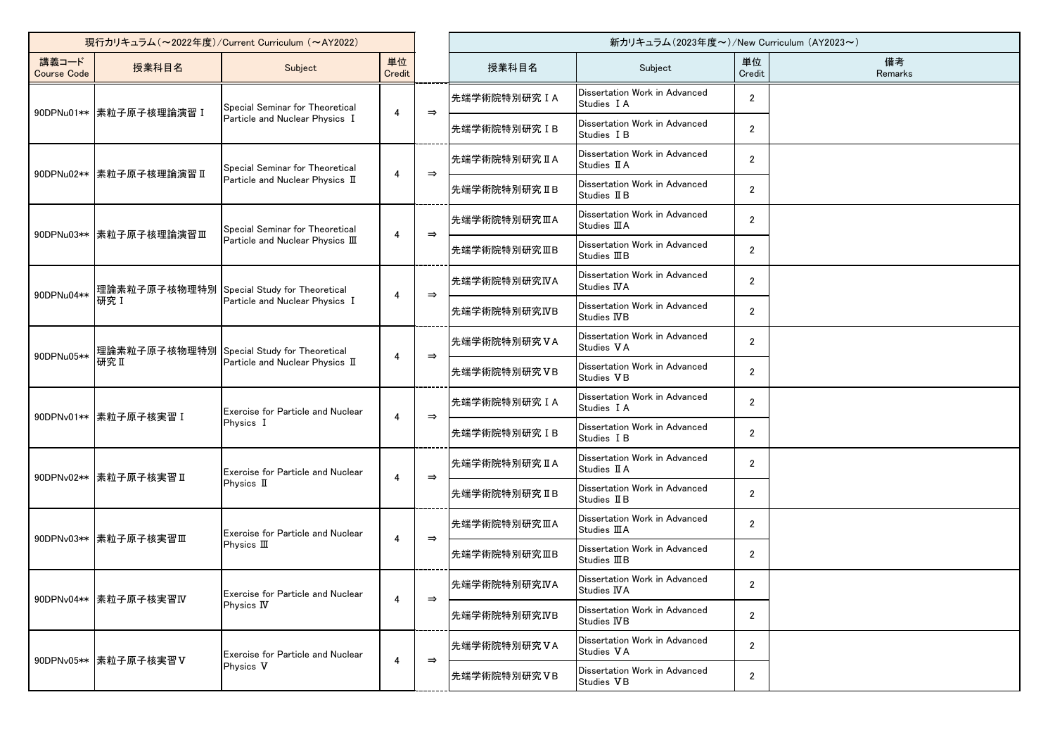| 現行カリキュラム (~2022年度)/Current Curriculum (~AY2022) |                                     |                                                                              |                |               | 新カリキュラム(2023年度~)/New Curriculum (AY2023~) |                                                       |                |               |  |
|-------------------------------------------------|-------------------------------------|------------------------------------------------------------------------------|----------------|---------------|-------------------------------------------|-------------------------------------------------------|----------------|---------------|--|
| 講義コード<br><b>Course Code</b>                     | 授業科目名                               | Subject                                                                      | 単位<br>Credit   |               | 授業科目名                                     | Subject                                               | 単位<br>Credit   | 備考<br>Remarks |  |
|                                                 | 90DPNu01**  素粒子原子核理論演習 I            | Special Seminar for Theoretical                                              | 4              | $\Rightarrow$ | 先端学術院特別研究IA                               | Dissertation Work in Advanced<br>Studies I A          | $\overline{2}$ |               |  |
|                                                 |                                     | Particle and Nuclear Physics I                                               |                |               | 先端学術院特別研究 IB                              | Dissertation Work in Advanced<br>Studies I B          | $\overline{2}$ |               |  |
|                                                 | 90DPNu02**  素粒子原子核理論演習 II           | Special Seminar for Theoretical                                              | 4              | $\Rightarrow$ | 先端学術院特別研究 II A                            | Dissertation Work in Advanced<br>Studies II A         | $\overline{2}$ |               |  |
|                                                 |                                     | Particle and Nuclear Physics II                                              |                |               | 先端学術院特別研究IB                               | Dissertation Work in Advanced<br>Studies II B         | $\overline{2}$ |               |  |
|                                                 | 90DPNu03**   素粒子原子核理論演習Ⅲ            | Special Seminar for Theoretical                                              | 4              | $\Rightarrow$ | 先端学術院特別研究ⅢA                               | Dissertation Work in Advanced<br>Studies <b>III</b> A | $\overline{2}$ |               |  |
|                                                 |                                     | Particle and Nuclear Physics III                                             |                |               | 先端学術院特別研究ⅢB                               | Dissertation Work in Advanced<br>Studies IIIB         | $\overline{2}$ |               |  |
| 90DPNu04**                                      |                                     | 理論素粒子原子核物理特別 Special Study for Theoretical<br>Particle and Nuclear Physics I | 4              | $\Rightarrow$ | 先端学術院特別研究IVA                              | Dissertation Work in Advanced<br>Studies IVA          | $\overline{2}$ |               |  |
|                                                 | 研究 I                                |                                                                              |                |               | 先端学術院特別研究IVB                              | Dissertation Work in Advanced<br>Studies IVB          | $\overline{2}$ |               |  |
|                                                 |                                     | 理論素粒子原子核物理特別 Special Study for Theoretical                                   | 4              | $\Rightarrow$ | 先端学術院特別研究VA                               | Dissertation Work in Advanced<br>Studies VA           | $\overline{2}$ |               |  |
|                                                 | 90DPNu05**<br>研究Ⅱ                   | Particle and Nuclear Physics II                                              |                |               | 先端学術院特別研究VB                               | Dissertation Work in Advanced<br>Studies VB           | $\overline{2}$ |               |  |
|                                                 | 90DPNv01**  素粒子原子核実習 I<br>Physics I | <b>Exercise for Particle and Nuclear</b>                                     | 4              | $\Rightarrow$ | 先端学術院特別研究IA                               | Dissertation Work in Advanced<br>Studies I A          | $\overline{2}$ |               |  |
|                                                 |                                     |                                                                              |                |               | 先端学術院特別研究 IB                              | Dissertation Work in Advanced<br>Studies I B          | $\overline{2}$ |               |  |
|                                                 | 90DPNv02**  素粒子原子核実習 II             | <b>Exercise for Particle and Nuclear</b>                                     | 4              | $\Rightarrow$ | 先端学術院特別研究 II A                            | Dissertation Work in Advanced<br>Studies II A         | $\overline{2}$ |               |  |
|                                                 |                                     | Physics II                                                                   |                |               | 先端学術院特別研究IB                               | Dissertation Work in Advanced<br>Studies II B         | $\overline{2}$ |               |  |
|                                                 | 90DPNv03** 素粒子原子核実習Ⅲ                | Exercise for Particle and Nuclear                                            | 4              | $\Rightarrow$ | 先端学術院特別研究ⅢA                               | Dissertation Work in Advanced<br>Studies <b>IIIA</b>  | $\overline{2}$ |               |  |
|                                                 |                                     | Physics III                                                                  |                |               | 先端学術院特別研究ⅢB                               | Dissertation Work in Advanced<br>Studies <b>III</b> B | $\overline{2}$ |               |  |
|                                                 | 90DPNv04**  素粒子原子核実習IV              | Exercise for Particle and Nuclear                                            | $\overline{4}$ | $\Rightarrow$ | 先端学術院特別研究IVA                              | Dissertation Work in Advanced<br>Studies IVA          | $\overline{2}$ |               |  |
|                                                 |                                     | Physics IV                                                                   |                |               | 先端学術院特別研究IVB                              | Dissertation Work in Advanced<br>Studies IVB          | $\overline{2}$ |               |  |
|                                                 |                                     | Exercise for Particle and Nuclear                                            | 4              | $\Rightarrow$ | 先端学術院特別研究VA                               | Dissertation Work in Advanced<br>Studies VA           | $\overline{2}$ |               |  |
|                                                 | 90DPNv05**  素粒子原子核実習V               | Physics V                                                                    |                |               | 先端学術院特別研究VB                               | Dissertation Work in Advanced<br>Studies VB           | $\overline{2}$ |               |  |